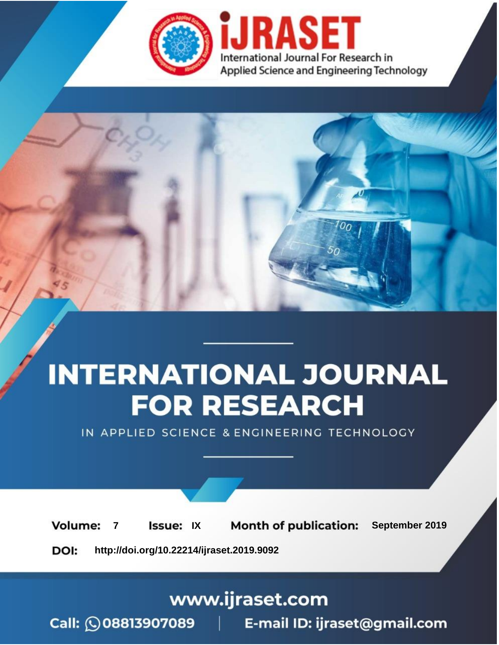

# **INTERNATIONAL JOURNAL FOR RESEARCH**

IN APPLIED SCIENCE & ENGINEERING TECHNOLOGY

**Month of publication: Volume: Issue: IX** September 2019  $\overline{7}$ DOI: http://doi.org/10.22214/ijraset.2019.9092

### www.ijraset.com

 $Call: \bigcirc$ 08813907089 E-mail ID: ijraset@gmail.com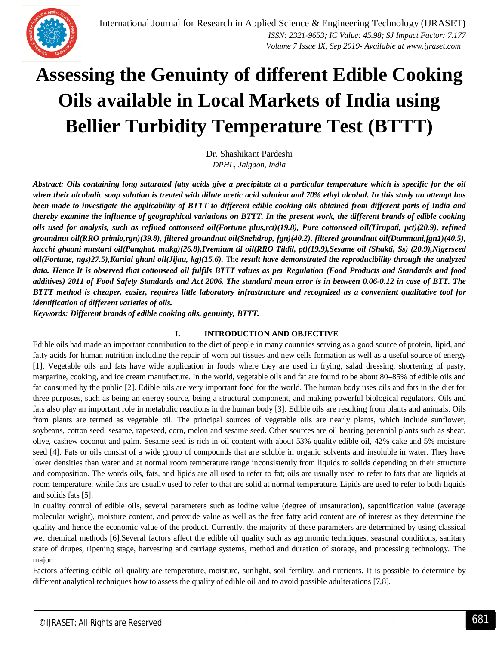### **Assessing the Genuinty of different Edible Cooking Oils available in Local Markets of India using Bellier Turbidity Temperature Test (BTTT)**

Dr. Shashikant Pardeshi *DPHL, Jalgaon, India*

*Abstract: Oils containing long saturated fatty acids give a precipitate at a particular temperature which is specific for the oil when their alcoholic soap solution is treated with dilute acetic acid solution and 70% ethyl alcohol. In this study an attempt has been made to investigate the applicability of BTTT to different edible cooking oils obtained from different parts of India and thereby examine the influence of geographical variations on BTTT. In the present work, the different brands of edible cooking oils used for analysis, such as refined cottonseed oil(Fortune plus,rct)(19.8), Pure cottonseed oil(Tirupati, pct)(20.9), refined groundnut oil(RRO primio,rgn)(39.8), filtered groundnut oil(Snehdrop, fgn)(40.2), filtered groundnut oil(Dammani,fgn1)(40.5), kacchi ghaani mustard oil(Panghat, mukg)(26.8),Premium til oil(RRO Tildil, pt)(19.9),Sesame oil (Shakti, Ss) (20.9),Nigerseed oil(Fortune, ngs)27.5),Kardai ghani oil(Jijau, kg)(15.6).* The *result have demonstrated the reproducibility through the analyzed data. Hence It is observed that cottonseed oil fulfils BTTT values as per Regulation (Food Products and Standards and food additives) 2011 of Food Safety Standards and Act 2006. The standard mean error is in between 0.06-0.12 in case of BTT. The BTTT method is cheaper, easier, requires little laboratory infrastructure and recognized as a convenient qualitative tool for identification of different varieties of oils.* 

*Keywords: Different brands of edible cooking oils, genuinty, BTTT.*

#### **I. INTRODUCTION AND OBJECTIVE**

Edible oils had made an important contribution to the diet of people in many countries serving as a good source of protein, lipid, and fatty acids for human nutrition including the repair of worn out tissues and new cells formation as well as a useful source of energy [1]. Vegetable oils and fats have wide application in foods where they are used in frying, salad dressing, shortening of pasty, margarine, cooking, and ice cream manufacture. In the world, vegetable oils and fat are found to be about 80–85% of edible oils and fat consumed by the public [2]. Edible oils are very important food for the world. The human body uses oils and fats in the diet for three purposes, such as being an energy source, being a structural component, and making powerful biological regulators. Oils and fats also play an important role in metabolic reactions in the human body [3]. Edible oils are resulting from plants and animals. Oils from plants are termed as vegetable oil. The principal sources of vegetable oils are nearly plants, which include sunflower, soybeans, cotton seed, sesame, rapeseed, corn, melon and sesame seed. Other sources are oil bearing perennial plants such as shear, olive, cashew coconut and palm. Sesame seed is rich in oil content with about 53% quality edible oil, 42% cake and 5% moisture seed [4]. Fats or oils consist of a wide group of compounds that are soluble in organic solvents and insoluble in water. They have lower densities than water and at normal room temperature range inconsistently from liquids to solids depending on their structure and composition. The words oils, fats, and lipids are all used to refer to fat; oils are usually used to refer to fats that are liquids at room temperature, while fats are usually used to refer to that are solid at normal temperature. Lipids are used to refer to both liquids and solids fats [5].

In quality control of edible oils, several parameters such as iodine value (degree of unsaturation), saponification value (average molecular weight), moisture content, and peroxide value as well as the free fatty acid content are of interest as they determine the quality and hence the economic value of the product. Currently, the majority of these parameters are determined by using classical wet chemical methods [6].Several factors affect the edible oil quality such as agronomic techniques, seasonal conditions, sanitary state of drupes, ripening stage, harvesting and carriage systems, method and duration of storage, and processing technology. The major

Factors affecting edible oil quality are temperature, moisture, sunlight, soil fertility, and nutrients. It is possible to determine by different analytical techniques how to assess the quality of edible oil and to avoid possible adulterations [7,8].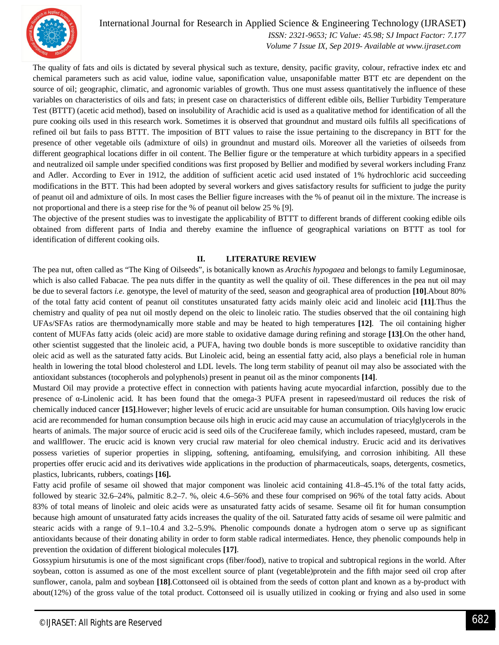

 *ISSN: 2321-9653; IC Value: 45.98; SJ Impact Factor: 7.177 Volume 7 Issue IX, Sep 2019- Available at www.ijraset.com*

The quality of fats and oils is dictated by several physical such as texture, density, pacific gravity, colour, refractive index etc and chemical parameters such as acid value, iodine value, saponification value, unsaponifable matter BTT etc are dependent on the source of oil; geographic, climatic, and agronomic variables of growth. Thus one must assess quantitatively the influence of these variables on characteristics of oils and fats; in present case on characteristics of different edible oils, Bellier Turbidity Temperature Test (BTTT) (acetic acid method), based on insolubility of Arachidic acid is used as a qualitative method for identification of all the pure cooking oils used in this research work. Sometimes it is observed that groundnut and mustard oils fulfils all specifications of refined oil but fails to pass BTTT. The imposition of BTT values to raise the issue pertaining to the discrepancy in BTT for the presence of other vegetable oils (admixture of oils) in groundnut and mustard oils. Moreover all the varieties of oilseeds from different geographical locations differ in oil content. The Bellier figure or the temperature at which turbidity appears in a specified and neutralized oil sample under specified conditions was first proposed by Bellier and modified by several workers including Franz and Adler. According to Ever in 1912, the addition of sufficient acetic acid used instated of 1% hydrochloric acid succeeding modifications in the BTT. This had been adopted by several workers and gives satisfactory results for sufficient to judge the purity of peanut oil and admixture of oils. In most cases the Bellier figure increases with the % of peanut oil in the mixture. The increase is not proportional and there is a steep rise for the % of peanut oil below 25 % [9].

The objective of the present studies was to investigate the applicability of BTTT to different brands of different cooking edible oils obtained from different parts of India and thereby examine the influence of geographical variations on BTTT as tool for identification of different cooking oils.

#### **II. LITERATURE REVIEW**

The pea nut, often called as "The King of Oilseeds", is botanically known as *Arachis hypogaea* and belongs to family Leguminosae, which is also called Fabacae. The pea nuts differ in the quantity as well the quality of oil. These differences in the pea nut oil may be due to several factors *i.e*. genotype, the level of maturity of the seed, season and geographical area of production **[10]**.About 80% of the total fatty acid content of peanut oil constitutes unsaturated fatty acids mainly oleic acid and linoleic acid **[11]**.Thus the chemistry and quality of pea nut oil mostly depend on the oleic to linoleic ratio. The studies observed that the oil containing high UFAs/SFAs ratios are thermodynamically more stable and may be heated to high temperatures **[12]**. The oil containing higher content of MUFAs fatty acids (oleic acid) are more stable to oxidative damage during refining and storage **[13]**.On the other hand, other scientist suggested that the linoleic acid, a PUFA, having two double bonds is more susceptible to oxidative rancidity than oleic acid as well as the saturated fatty acids. But Linoleic acid, being an essential fatty acid, also plays a beneficial role in human health in lowering the total blood cholesterol and LDL levels. The long term stability of peanut oil may also be associated with the antioxidant substances (tocopherols and polyphenols) present in peanut oil as the minor components **[14]**.

Mustard Oil may provide a protective effect in connection with patients having acute myocardial infarction, possibly due to the presence of α-Linolenic acid. It has been found that the omega-3 PUFA present in rapeseed/mustard oil reduces the risk of chemically induced cancer **[15]**.However; higher levels of erucic acid are unsuitable for human consumption. Oils having low erucic acid are recommended for human consumption because oils high in erucic acid may cause an accumulation of triacylglycerols in the hearts of animals. The major source of erucic acid is seed oils of the Crucifereae family, which includes rapeseed, mustard, cram be and wallflower. The erucic acid is known very crucial raw material for oleo chemical industry. Erucic acid and its derivatives possess varieties of superior properties in slipping, softening, antifoaming, emulsifying, and corrosion inhibiting. All these properties offer erucic acid and its derivatives wide applications in the production of pharmaceuticals, soaps, detergents, cosmetics, plastics, lubricants, rubbers, coatings **[16].**

Fatty acid profile of sesame oil showed that major component was linoleic acid containing 41.8–45.1% of the total fatty acids, followed by stearic 32.6–24%, palmitic 8.2–7. %, oleic 4.6–56% and these four comprised on 96% of the total fatty acids. About 83% of total means of linoleic and oleic acids were as unsaturated fatty acids of sesame. Sesame oil fit for human consumption because high amount of unsaturated fatty acids increases the quality of the oil. Saturated fatty acids of sesame oil were palmitic and stearic acids with a range of 9.1–10.4 and 3.2–5.9%. Phenolic compounds donate a hydrogen atom o serve up as significant antioxidants because of their donating ability in order to form stable radical intermediates. Hence, they phenolic compounds help in prevention the oxidation of different biological molecules **[17]**.

Gossypium hirsutumis is one of the most significant crops (fiber/food), native to tropical and subtropical regions in the world. After soybean, cotton is assumed as one of the most excellent source of plant (vegetable)protein and the fifth major seed oil crop after sunflower, canola, palm and soybean **[18]**.Cottonseed oil is obtained from the seeds of cotton plant and known as a by-product with about(12%) of the gross value of the total product. Cottonseed oil is usually utilized in cooking or frying and also used in some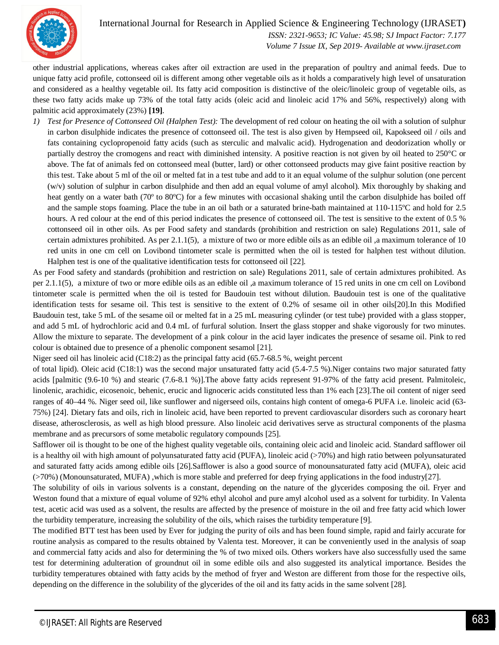

 *ISSN: 2321-9653; IC Value: 45.98; SJ Impact Factor: 7.177 Volume 7 Issue IX, Sep 2019- Available at www.ijraset.com*

other industrial applications, whereas cakes after oil extraction are used in the preparation of poultry and animal feeds. Due to unique fatty acid profile, cottonseed oil is different among other vegetable oils as it holds a comparatively high level of unsaturation and considered as a healthy vegetable oil. Its fatty acid composition is distinctive of the oleic/linoleic group of vegetable oils, as these two fatty acids make up 73% of the total fatty acids (oleic acid and linoleic acid 17% and 56%, respectively) along with palmitic acid approximately (23%) **[19]**.

*1) Test for Presence of Cottonseed Oil (Halphen Test):* The development of red colour on heating the oil with a solution of sulphur in carbon disulphide indicates the presence of cottonseed oil. The test is also given by Hempseed oil, Kapokseed oil / oils and fats containing cyclopropenoid fatty acids (such as sterculic and malvalic acid). Hydrogenation and deodorization wholly or partially destroy the cromogens and react with diminished intensity. A positive reaction is not given by oil heated to 250°C or above. The fat of animals fed on cottonseed meal (butter, lard) or other cottonseed products may give faint positive reaction by this test. Take about 5 ml of the oil or melted fat in a test tube and add to it an equal volume of the sulphur solution (one percent (w/v) solution of sulphur in carbon disulphide and then add an equal volume of amyl alcohol). Mix thoroughly by shaking and heat gently on a water bath (70° to 80°C) for a few minutes with occasional shaking until the carbon disulphide has boiled off and the sample stops foaming. Place the tube in an oil bath or a saturated brine-bath maintained at 110-115ºC and hold for 2.5 hours. A red colour at the end of this period indicates the presence of cottonseed oil. The test is sensitive to the extent of 0.5 % cottonseed oil in other oils. As per Food safety and standards (prohibition and restriction on sale) Regulations 2011, sale of certain admixtures prohibited. As per 2.1.1(5), a mixture of two or more edible oils as an edible oil ,a maximum tolerance of 10 red units in one cm cell on Lovibond tintometer scale is permitted when the oil is tested for halphen test without dilution. Halphen test is one of the qualitative identification tests for cottonseed oil [22].

As per Food safety and standards (prohibition and restriction on sale) Regulations 2011, sale of certain admixtures prohibited. As per 2.1.1(5), a mixture of two or more edible oils as an edible oil ,a maximum tolerance of 15 red units in one cm cell on Lovibond tintometer scale is permitted when the oil is tested for Baudouin test without dilution. Baudouin test is one of the qualitative identification tests for sesame oil. This test is sensitive to the extent of 0.2% of sesame oil in other oils[20].In this Modified Baudouin test, take 5 mL of the sesame oil or melted fat in a 25 mL measuring cylinder (or test tube) provided with a glass stopper, and add 5 mL of hydrochloric acid and 0.4 mL of furfural solution. Insert the glass stopper and shake vigorously for two minutes. Allow the mixture to separate. The development of a pink colour in the acid layer indicates the presence of sesame oil. Pink to red colour is obtained due to presence of a phenolic component sesamol [21].

Niger seed oil has linoleic acid (C18:2) as the principal fatty acid (65.7-68.5 %, weight percent

of total lipid). Oleic acid (C18:1) was the second major unsaturated fatty acid (5.4-7.5 %).Niger contains two major saturated fatty acids [palmitic (9.6-10 %) and stearic (7.6-8.1 %)].The above fatty acids represent 91-97% of the fatty acid present. Palmitoleic, linolenic, arachidic, eicosenoic, behenic, erucic and lignoceric acids constituted less than 1% each [23].The oil content of niger seed ranges of 40–44 %. Niger seed oil, like sunflower and nigerseed oils, contains high content of omega-6 PUFA i.e. linoleic acid (63- 75%) [24]. Dietary fats and oils, rich in linoleic acid, have been reported to prevent cardiovascular disorders such as coronary heart disease, atherosclerosis, as well as high blood pressure. Also linoleic acid derivatives serve as structural components of the plasma membrane and as precursors of some metabolic regulatory compounds [25].

Safflower oil is thought to be one of the highest quality vegetable oils, containing oleic acid and linoleic acid. Standard safflower oil is a healthy oil with high amount of polyunsaturated fatty acid (PUFA), linoleic acid (>70%) and high ratio between polyunsaturated and saturated fatty acids among edible oils [26].Safflower is also a good source of monounsaturated fatty acid (MUFA), oleic acid (>70%) (Monounsaturated, MUFA) ,which is more stable and preferred for deep frying applications in the food industry[27].

The solubility of oils in various solvents is a constant, depending on the nature of the glycerides composing the oil. Fryer and Weston found that a mixture of equal volume of 92% ethyl alcohol and pure amyl alcohol used as a solvent for turbidity. In Valenta test, acetic acid was used as a solvent, the results are affected by the presence of moisture in the oil and free fatty acid which lower the turbidity temperature, increasing the solubility of the oils, which raises the turbidity temperature [9].

The modified BTT test has been used by Ever for judging the purity of oils and has been found simple, rapid and fairly accurate for routine analysis as compared to the results obtained by Valenta test. Moreover, it can be conveniently used in the analysis of soap and commercial fatty acids and also for determining the % of two mixed oils. Others workers have also successfully used the same test for determining adulteration of groundnut oil in some edible oils and also suggested its analytical importance. Besides the turbidity temperatures obtained with fatty acids by the method of fryer and Weston are different from those for the respective oils, depending on the difference in the solubility of the glycerides of the oil and its fatty acids in the same solvent [28].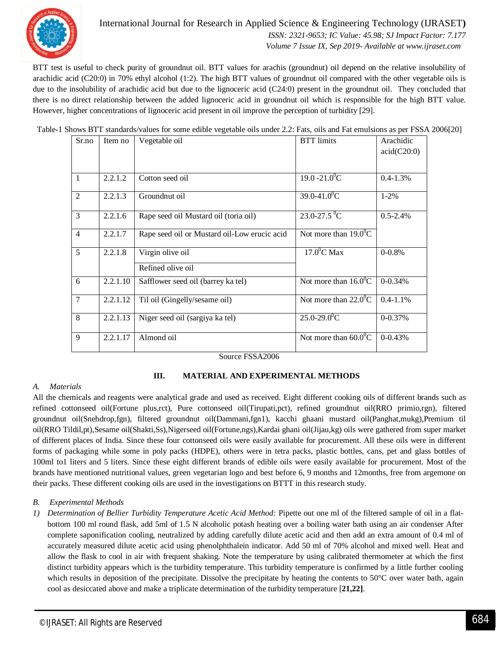

#### International Journal for Research in Applied Science & Engineering Technology (IJRASET**)**  *ISSN: 2321-9653; IC Value: 45.98; SJ Impact Factor: 7.177*

 *Volume 7 Issue IX, Sep 2019- Available at www.ijraset.com*

BTT test is useful to check purity of groundnut oil. BTT values for arachis (groundnut) oil depend on the relative insolubility of arachidic acid (C20:0) in 70% ethyl alcohol (1:2). The high BTT values of groundnut oil compared with the other vegetable oils is due to the insolubility of arachidic acid but due to the lignoceric acid (C24:0) present in the groundnut oil. They concluded that there is no direct relationship between the added lignoceric acid in groundnut oil which is responsible for the high BTT value. However, higher concentrations of lignoceric acid present in oil improve the perception of turbidity [29].

Table-1 Shows BTT standards/values for some edible vegetable oils under 2.2: Fats, oils and Fat emulsions as per FSSA 2006[20]

| Sr.no          | Item no  | Vegetable oil                                | <b>BTT</b> limits                  | Arachidic<br>acid(C20:0) |
|----------------|----------|----------------------------------------------|------------------------------------|--------------------------|
| 1              | 2.2.1.2  | Cotton seed oil                              | $19.0 - 21.0$ <sup>o</sup> C       | $0.4 - 1.3\%$            |
| 2              | 2.2.1.3  | Groundnut oil                                | $39.0 - 41.0$ <sup>°</sup> C       | $1 - 2\%$                |
| 3              | 2.2.1.6  | Rape seed oil Mustard oil (toria oil)        | $23.0 - 27.5 \,^0C$                | $0.5 - 2.4\%$            |
| $\overline{4}$ | 2.2.1.7  | Rape seed oil or Mustard oil-Low erucic acid | Not more than $19.0^{\circ}$ C     |                          |
| 5              | 2.2.1.8  | Virgin olive oil<br>Refined olive oil        | $17.0$ <sup>o</sup> C Max          | $0 - 0.8%$               |
| 6              | 2.2.1.10 | Safflower seed oil (barrey ka tel)           | Not more than $16.\overline{0}^0C$ | $0 - 0.34%$              |
| 7              | 2.2.1.12 | Til oil (Gingelly/sesame oil)                | Not more than $22.0^{\circ}$ C     | $0.4 - 1.1\%$            |
| 8              | 2.2.1.13 | Niger seed oil (sargiya ka tel)              | $25.0 - 29.0$ <sup>0</sup> C       | 0-0.37%                  |
| 9              | 2.2.1.17 | Almond oil                                   | Not more than $60.0^{\circ}$ C     | $0 - 0.43%$              |

Source FSSA2006

#### **III. MATERIAL AND EXPERIMENTAL METHODS**

#### *A. Materials*

All the chemicals and reagents were analytical grade and used as received. Eight different cooking oils of different brands such as refined cottonseed oil(Fortune plus,rct), Pure cottonseed oil(Tirupati,pct), refined groundnut oil(RRO primio,rgn), filtered groundnut oil(Snehdrop,fgn), filtered groundnut oil(Dammani,fgn1), kacchi ghaani mustard oil(Panghat,mukg),Premium til oil(RRO Tildil,pt),Sesame oil(Shakti,Ss),Nigerseed oil(Fortune,ngs),Kardai ghani oil(Jijau,kg) oils were gathered from super market of different places of India. Since these four cottonseed oils were easily available for procurement. All these oils were in different forms of packaging while some in poly packs (HDPE), others were in tetra packs, plastic bottles, cans, pet and glass bottles of 100ml to1 liters and 5 liters. Since these eight different brands of edible oils were easily available for procurement. Most of the brands have mentioned nutritional values, green vegetarian logo and best before 6, 9 months and 12months, free from argemone on their packs. These different cooking oils are used in the investigations on BTTT in this research study.

#### *B. Experimental Methods*

*1) Determination of Bellier Turbidity Temperature Acetic Acid Method:* Pipette out one ml of the filtered sample of oil in a flatbottom 100 ml round flask, add 5ml of 1.5 N alcoholic potash heating over a boiling water bath using an air condenser After complete saponification cooling, neutralized by adding carefully dilute acetic acid and then add an extra amount of 0.4 ml of accurately measured dilute acetic acid using phenolphthalein indicator. Add 50 ml of 70% alcohol and mixed well. Heat and allow the flask to cool in air with frequent shaking. Note the temperature by using calibrated thermometer at which the first distinct turbidity appears which is the turbidity temperature. This turbidity temperature is confirmed by a little further cooling which results in deposition of the precipitate. Dissolve the precipitate by heating the contents to 50°C over water bath, again cool as desiccated above and make a triplicate determination of the turbidity temperature [**21,22]**.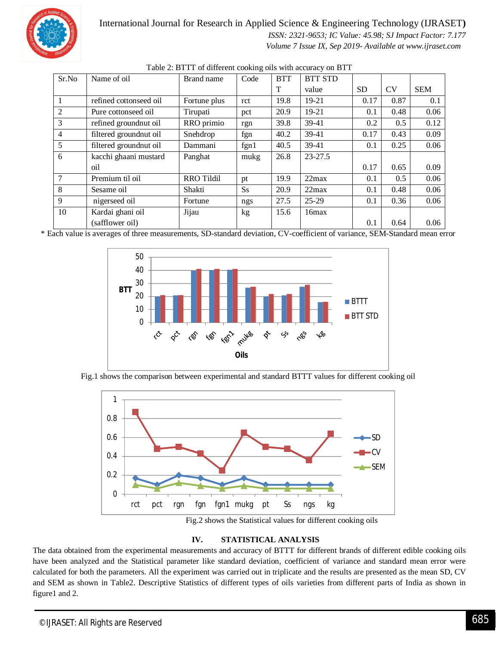

 *ISSN: 2321-9653; IC Value: 45.98; SJ Impact Factor: 7.177*

 *Volume 7 Issue IX, Sep 2019- Available at www.ijraset.com*

| Sr.No          | Name of oil            | Brand name        | Code      | <b>BTT</b> | <b>BTT STD</b> |           |           |            |
|----------------|------------------------|-------------------|-----------|------------|----------------|-----------|-----------|------------|
|                |                        |                   |           | T          | value          | <b>SD</b> | <b>CV</b> | <b>SEM</b> |
|                | refined cottonseed oil | Fortune plus      | rct       | 19.8       | $19-21$        | 0.17      | 0.87      | 0.1        |
| 2              | Pure cottonseed oil    | Tirupati          | pct       | 20.9       | 19-21          | 0.1       | 0.48      | 0.06       |
| 3              | refined groundnut oil  | RRO primio        | rgn       | 39.8       | 39-41          | 0.2       | 0.5       | 0.12       |
| $\overline{4}$ | filtered groundnut oil | Snehdrop          | fgn       | 40.2       | 39-41          | 0.17      | 0.43      | 0.09       |
| 5              | filtered groundnut oil | Dammani           | fgn1      | 40.5       | 39-41          | 0.1       | 0.25      | 0.06       |
| 6              | kacchi ghaani mustard  | Panghat           | mukg      | 26.8       | $23 - 27.5$    |           |           |            |
|                | oil                    |                   |           |            |                | 0.17      | 0.65      | 0.09       |
| 7              | Premium til oil        | <b>RRO Tildil</b> | pt        | 19.9       | 22max          | 0.1       | 0.5       | 0.06       |
| 8              | Sesame oil             | Shakti            | <b>Ss</b> | 20.9       | $22$ max       | 0.1       | 0.48      | 0.06       |
| 9              | nigerseed oil          | Fortune           | ngs       | 27.5       | $25-29$        | 0.1       | 0.36      | 0.06       |
| 10             | Kardai ghani oil       | Jijau             | kg        | 15.6       | 16max          |           |           |            |
|                | (safflower oil)        |                   |           |            |                | 0.1       | 0.64      | 0.06       |

|  |  |  | Table 2: BTTT of different cooking oils with accuracy on BTT |  |
|--|--|--|--------------------------------------------------------------|--|
|--|--|--|--------------------------------------------------------------|--|

\* Each value is averages of three measurements, SD-standard deviation, CV-coefficient of variance, SEM-Standard mean error



Fig.1 shows the comparison between experimental and standard BTTT values for different cooking oil



Fig.2 shows the Statistical values for different cooking oils

#### **IV. STATISTICAL ANALYSIS**

The data obtained from the experimental measurements and accuracy of BTTT for different brands of different edible cooking oils have been analyzed and the Statistical parameter like standard deviation, coefficient of variance and standard mean error were calculated for both the parameters. All the experiment was carried out in triplicate and the results are presented as the mean SD, CV and SEM as shown in Table2. Descriptive Statistics of different types of oils varieties from different parts of India as shown in figure1 and 2.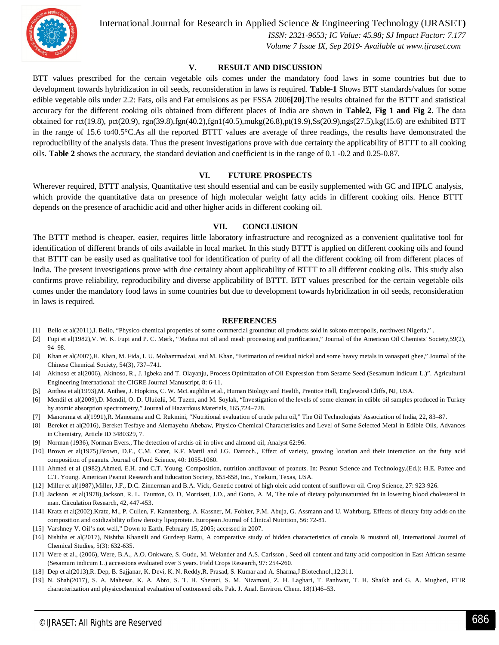

 *ISSN: 2321-9653; IC Value: 45.98; SJ Impact Factor: 7.177 Volume 7 Issue IX, Sep 2019- Available at www.ijraset.com*

#### **V. RESULT AND DISCUSSION**

BTT values prescribed for the certain vegetable oils comes under the mandatory food laws in some countries but due to development towards hybridization in oil seeds, reconsideration in laws is required. **Table-1** Shows BTT standards/values for some edible vegetable oils under 2.2: Fats, oils and Fat emulsions as per FSSA 2006**[20]**.The results obtained for the BTTT and statistical accuracy for the different cooking oils obtained from different places of India are shown in **Table2, Fig 1 and Fig 2**. The data obtained for rct(19.8), pct(20.9), rgn(39.8),fgn(40.2),fgn1(40.5),mukg(26.8),pt(19.9),Ss(20.9),ngs(27.5),kg(15.6) are exhibited BTT in the range of 15.6 to40.5°C.As all the reported BTTT values are average of three readings, the results have demonstrated the reproducibility of the analysis data. Thus the present investigations prove with due certainty the applicability of BTTT to all cooking oils. **Table 2** shows the accuracy, the standard deviation and coefficient is in the range of 0.1 -0.2 and 0.25-0.87.

#### **VI. FUTURE PROSPECTS**

Wherever required, BTTT analysis, Quantitative test should essential and can be easily supplemented with GC and HPLC analysis, which provide the quantitative data on presence of high molecular weight fatty acids in different cooking oils. Hence BTTT depends on the presence of arachidic acid and other higher acids in different cooking oil.

#### **VII. CONCLUSION**

The BTTT method is cheaper, easier, requires little laboratory infrastructure and recognized as a convenient qualitative tool for identification of different brands of oils available in local market. In this study BTTT is applied on different cooking oils and found that BTTT can be easily used as qualitative tool for identification of purity of all the different cooking oil from different places of India. The present investigations prove with due certainty about applicability of BTTT to all different cooking oils. This study also confirms prove reliability, reproducibility and diverse applicability of BTTT. BTT values prescribed for the certain vegetable oils comes under the mandatory food laws in some countries but due to development towards hybridization in oil seeds, reconsideration in laws is required.

#### **REFERENCES**

- [1] Bello et al(2011), I. Bello, "Physico-chemical properties of some commercial groundnut oil products sold in sokoto metropolis, northwest Nigeria," .
- [2] Fupi et al(1982),V. W. K. Fupi and P. C. Mørk, "Mafura nut oil and meal: processing and purification," Journal of the American Oil Chemists' Society,59(2), 94–98.
- [3] Khan et al(2007),H. Khan, M. Fida, I. U. Mohammadzai, and M. Khan, "Estimation of residual nickel and some heavy metals in vanaspati ghee," Journal of the Chinese Chemical Society, 54(3), 737–741.
- [4] Akinoso et al(2006), Akinoso, R., J. Igbeka and T. Olayanju, Process Optimization of Oil Expression from Sesame Seed (Sesamum indicum L.)". Agricultural Engineering International: the CIGRE Journal Manuscript, 8: 6-11.
- [5] Anthea et al(1993),M. Anthea, J. Hopkins, C. W. McLaughlin et al., Human Biology and Health, Prentice Hall, Englewood Cliffs, NJ, USA.
- [6] Mendil et al(2009),D. Mendil, O. D. Uluözlü, M. Tuzen, and M. Soylak, "Investigation of the levels of some element in edible oil samples produced in Turkey by atomic absorption spectrometry," Journal of Hazardous Materials, 165,724–728.
- [7] Manorama et al(1991),R. Manorama and C. Rukmini, "Nutritional evaluation of crude palm oil," The Oil Technologists' Association of India, 22, 83–87.
- [8] Bereket et al(2016), Bereket Tesfaye and Alemayehu Abebaw, Physico-Chemical Characteristics and Level of Some Selected Metal in Edible Oils, Advances in Chemistry, Article ID 3480329, 7.
- [9] Norman (1936), Norman Evers., The detection of archis oil in olive and almond oil, Analyst 62:96.
- [10] Brown et al(1975),Brown, D.F., C.M. Cater, K.F. Mattil and J.G. Darroch., Effect of variety, growing location and their interaction on the fatty acid composition of peanuts. Journal of Food Science, 40: 1055-1060.
- [11] Ahmed et al (1982),Ahmed, E.H. and C.T. Young, Composition, nutrition andflavour of peanuts. In: Peanut Science and Technology,(Ed.): H.E. Pattee and C.T. Young. American Peanut Research and Education Society, 655-658, Inc., Yoakum, Texas, USA.
- [12] Miller et al(1987),Miller, J.F., D.C. Zinnerman and B.A. Vick, Genetic control of high oleic acid content of sunflower oil. Crop Science, 27: 923-926.
- [13] Jackson et al(1978),Jackson, R. L, Taunton, O. D, Morrisett, J.D., and Gotto, A. M, The role of dietary polyunsaturated fat in lowering blood cholesterol in man. Circulation Research, 42, 447-453.
- [14] Kratz et al(2002),Kratz, M., P. Cullen, F. Kannenberg, A. Kassner, M. Fobker, P.M. Abuja, G. Assmann and U. Wahrburg. Effects of dietary fatty acids on the composition and oxidizability oflow density lipoprotein. European Journal of Clinical Nutrition, 56: 72-81.
- [15] Varshney V. Oil's not well," Down to Earth, February 15, 2005; accessed in 2007.
- [16] Nishtha et al(2017), Nishtha Khansili and Gurdeep Rattu, A comparative study of hidden characteristics of canola & mustard oil, International Journal of Chemical Studies, 5(3): 632-635.
- [17] Were et al., (2006), Were, B.A., A.O. Onkware, S. Gudu, M. Welander and A.S. Carlsson , Seed oil content and fatty acid composition in East African sesame (Sesamum indicum L.) accessions evaluated over 3 years. Field Crops Research, 97: 254-260.
- [18] Dep et al(2013),R. Dep, B. Sajjanar, K. Devi, K. N. Reddy,R. Prasad, S. Kumar and A. Sharma,J.Biotechnol.,12,311.
- [19] N. Shah(2017), S. A. Mahesar, K. A. Abro, S. T. H. Sherazi, S. M. Nizamani, Z. H. Laghari, T. Panhwar, T. H. Shaikh and G. A. Mugheri, FTIR characterization and physicochemical evaluation of cottonseed oils. Pak. J. Anal. Environ. Chem. 18(1)46–53.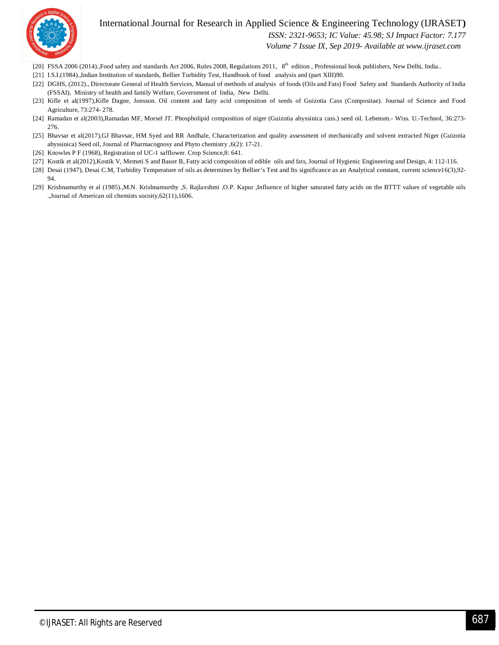

 *ISSN: 2321-9653; IC Value: 45.98; SJ Impact Factor: 7.177*

 *Volume 7 Issue IX, Sep 2019- Available at www.ijraset.com*

- [20] FSSA 2006 (2014).,Food safety and standards Act 2006, Rules 2008, Regulations 2011, 8<sup>th</sup> edition, Professional book publishers, New Delhi, India..
- [21] I.S.I.(1984).,Indian Institution of standards, Bellier Turbidity Test, Handbook of food analysis and (part XIII)90.
- [22] DGHS, (2012)., Directorate General of Health Services, Manual of methods of analysis of foods (Oils and Fats) Food Safety and Standards Authority of India (FSSAI), Ministry of health and family Welfare, Government of India, New Delhi.
- [23] Kifle et al(1997), Kifle Dagne, Jonsson. Oil content and fatty acid composition of seeds of Guizotia Cass (Compositae). Journal of Science and Food Agriculture, 73:274- 278.
- [24] Ramadan et al(2003),Ramadan MF, Morsel JT. Phospholipid composition of niger (Guizotia abyssinica cass.) seed oil. Lebensm.- Wiss. U.-Technol, 36:273- 276.
- [25] Bhavsar et al(2017),GJ Bhavsar, HM Syed and RR Andhale, Characterization and quality assessment of mechanically and solvent extracted Niger (Guizotia abyssinica) Seed oil, Journal of Pharmacognosy and Phyto chemistry ,6(2): 17-21.
- [26] Knowles P F (1968), Registration of UC-1 safflower. Crop Science, 8: 641.
- [27] Kostik et al(2012),Kostik V, Memeti S and Bauer B, Fatty acid composition of edible oils and fats, Journal of Hygienic Engineering and Design, 4: 112-116.
- [28] Desai (1947), Desai C.M, Turbidity Temperature of oils as determines by Bellier's Test and Its significance as an Analytical constant, current science16(3),92- 94.
- [29] Krishnamurthy et al (1985).,M.N. Krishnamurthy ,S. Rajlaxshmi ,O.P. Kapur ,Influence of higher saturated fatty acids on the BTTT values of vegetable oils .,Journal of American oil chemists socoity,62(11),1606.